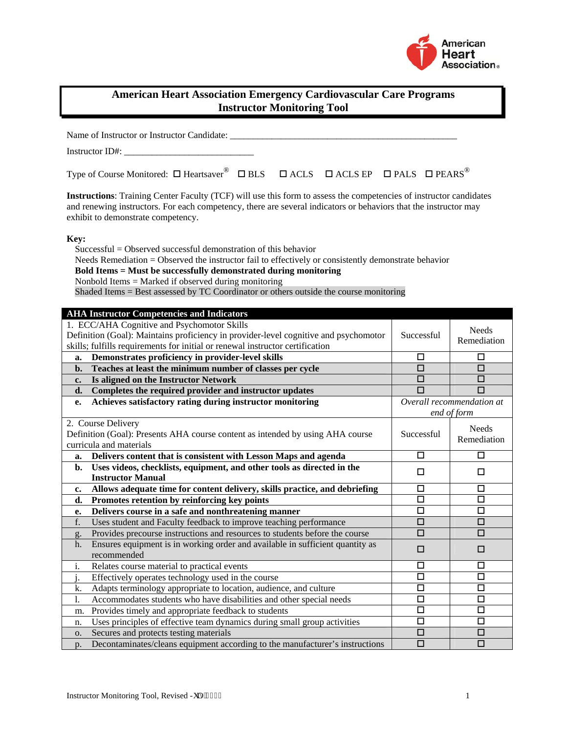

| <b>American Heart Association Emergency Cardiovascular Care Programs</b><br><b>Instructor Monitoring Tool</b>                                                                                                                                                                                                                                                                                          |                                          |                             |  |  |
|--------------------------------------------------------------------------------------------------------------------------------------------------------------------------------------------------------------------------------------------------------------------------------------------------------------------------------------------------------------------------------------------------------|------------------------------------------|-----------------------------|--|--|
| Name of Instructor or Instructor Candidate: _______                                                                                                                                                                                                                                                                                                                                                    |                                          |                             |  |  |
|                                                                                                                                                                                                                                                                                                                                                                                                        |                                          |                             |  |  |
| Type of Course Monitored: $\square$ Heartsaver $\Box$ $\square$ BLS $\square$ ACLS $\square$ ACLS EP $\square$ PALS $\square$ PEARS                                                                                                                                                                                                                                                                    |                                          |                             |  |  |
| Instructions: Training Center Faculty (TCF) will use this form to assess the competencies of instructor candidates<br>and renewing instructors. For each competency, there are several indicators or behaviors that the instructor may<br>exhibit to demonstrate competency.                                                                                                                           |                                          |                             |  |  |
| Key:<br>$Succesful = Observed successful demonstration of this behavior$<br>Needs Remediation = Observed the instructor fail to effectively or consistently demonstrate behavior<br>Bold Items = Must be successfully demonstrated during monitoring<br>Nonbold Items = Marked if observed during monitoring<br>Shaded Items = Best assessed by TC Coordinator or others outside the course monitoring |                                          |                             |  |  |
| <b>AHA Instructor Competencies and Indicators</b>                                                                                                                                                                                                                                                                                                                                                      |                                          |                             |  |  |
| 1. ECC/AHA Cognitive and Psychomotor Skills<br>Definition (Goal): Maintains proficiency in provider-level cognitive and psychomotor<br>skills; fulfills requirements for initial or renewal instructor certification                                                                                                                                                                                   | Successful                               | <b>Needs</b><br>Remediation |  |  |
| Demonstrates proficiency in provider-level skills<br>a.                                                                                                                                                                                                                                                                                                                                                | □                                        | □                           |  |  |
| Teaches at least the minimum number of classes per cycle<br>b.                                                                                                                                                                                                                                                                                                                                         | □                                        | □                           |  |  |
| Is aligned on the Instructor Network<br>$c_{\bullet}$                                                                                                                                                                                                                                                                                                                                                  | □                                        | □                           |  |  |
| Completes the required provider and instructor updates<br>d.                                                                                                                                                                                                                                                                                                                                           | п                                        | п                           |  |  |
| Achieves satisfactory rating during instructor monitoring<br>е.                                                                                                                                                                                                                                                                                                                                        | Overall recommendation at<br>end of form |                             |  |  |
| 2. Course Delivery<br>Definition (Goal): Presents AHA course content as intended by using AHA course<br>curricula and materials                                                                                                                                                                                                                                                                        | Successful                               | <b>Needs</b><br>Remediation |  |  |
| Delivers content that is consistent with Lesson Maps and agenda<br>a.                                                                                                                                                                                                                                                                                                                                  | □                                        | □                           |  |  |
| Uses videos, checklists, equipment, and other tools as directed in the<br>b.<br><b>Instructor Manual</b>                                                                                                                                                                                                                                                                                               | $\Box$                                   | $\Box$                      |  |  |
| Allows adequate time for content delivery, skills practice, and debriefing<br>c.                                                                                                                                                                                                                                                                                                                       | 口                                        | □                           |  |  |
| Promotes retention by reinforcing key points<br>d.                                                                                                                                                                                                                                                                                                                                                     | $\overline{\square}$                     | $\overline{\square}$        |  |  |
| Delivers course in a safe and nonthreatening manner<br>e.                                                                                                                                                                                                                                                                                                                                              | □                                        | □                           |  |  |
| Uses student and Faculty feedback to improve teaching performance<br>f.                                                                                                                                                                                                                                                                                                                                | □                                        | □                           |  |  |
| Provides precourse instructions and resources to students before the course<br>g.                                                                                                                                                                                                                                                                                                                      | $\Box$                                   | □                           |  |  |
| Ensures equipment is in working order and available in sufficient quantity as<br>h.<br>recommended                                                                                                                                                                                                                                                                                                     | $\Box$                                   | □                           |  |  |
| Relates course material to practical events<br>i.                                                                                                                                                                                                                                                                                                                                                      | □                                        | □                           |  |  |
| Effectively operates technology used in the course                                                                                                                                                                                                                                                                                                                                                     | $\Box$                                   | □                           |  |  |
| Adapts terminology appropriate to location, audience, and culture<br>k.                                                                                                                                                                                                                                                                                                                                | □                                        | □                           |  |  |
| Accommodates students who have disabilities and other special needs<br>1.                                                                                                                                                                                                                                                                                                                              | □                                        | □                           |  |  |
| Provides timely and appropriate feedback to students<br>m.                                                                                                                                                                                                                                                                                                                                             | □                                        | □                           |  |  |
| Uses principles of effective team dynamics during small group activities<br>n.                                                                                                                                                                                                                                                                                                                         | □                                        | □                           |  |  |
| Secures and protects testing materials<br>0.                                                                                                                                                                                                                                                                                                                                                           | □                                        | □                           |  |  |
| Decontaminates/cleans equipment according to the manufacturer's instructions<br>p.                                                                                                                                                                                                                                                                                                                     | $\Box$                                   | □                           |  |  |